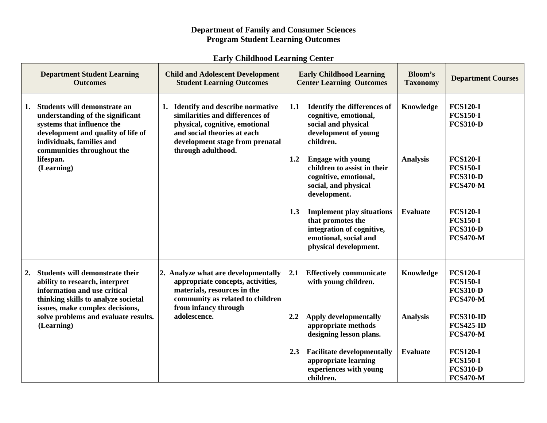## **Department of Family and Consumer Sciences Program Student Learning Outcomes**

## **Early Childhood Learning Center**

| <b>Department Student Learning</b><br><b>Outcomes</b>                                                                                                                                                                            | <b>Child and Adolescent Development</b><br><b>Student Learning Outcomes</b>                                                                                                                     | <b>Early Childhood Learning</b><br><b>Center Learning Outcomes</b>                                                                          | <b>Bloom's</b><br><b>Taxonomy</b> | <b>Department Courses</b>                                                |
|----------------------------------------------------------------------------------------------------------------------------------------------------------------------------------------------------------------------------------|-------------------------------------------------------------------------------------------------------------------------------------------------------------------------------------------------|---------------------------------------------------------------------------------------------------------------------------------------------|-----------------------------------|--------------------------------------------------------------------------|
| Students will demonstrate an<br>1.<br>understanding of the significant<br>systems that influence the<br>development and quality of life of<br>individuals, families and<br>communities throughout the<br>lifespan.<br>(Learning) | 1. Identify and describe normative<br>similarities and differences of<br>physical, cognitive, emotional<br>and social theories at each<br>development stage from prenatal<br>through adulthood. | 1.1<br><b>Identify the differences of</b><br>cognitive, emotional,<br>social and physical<br>development of young<br>children.              | Knowledge                         | <b>FCS120-I</b><br><b>FCS150-I</b><br><b>FCS310-D</b>                    |
|                                                                                                                                                                                                                                  |                                                                                                                                                                                                 | <b>Engage with young</b><br>1.2<br>children to assist in their<br>cognitive, emotional,<br>social, and physical<br>development.             | <b>Analysis</b>                   | <b>FCS120-I</b><br><b>FCS150-I</b><br><b>FCS310-D</b><br><b>FCS470-M</b> |
|                                                                                                                                                                                                                                  |                                                                                                                                                                                                 | 1.3<br><b>Implement play situations</b><br>that promotes the<br>integration of cognitive,<br>emotional, social and<br>physical development. | <b>Evaluate</b>                   | <b>FCS120-I</b><br><b>FCS150-I</b><br><b>FCS310-D</b><br><b>FCS470-M</b> |
| Students will demonstrate their<br>2.<br>ability to research, interpret<br>information and use critical<br>thinking skills to analyze societal<br>issues, make complex decisions,                                                | 2. Analyze what are developmentally<br>appropriate concepts, activities,<br>materials, resources in the<br>community as related to children<br>from infancy through<br>adolescence.             | 2.1<br><b>Effectively communicate</b><br>with young children.                                                                               | Knowledge                         | <b>FCS120-I</b><br><b>FCS150-I</b><br><b>FCS310-D</b><br><b>FCS470-M</b> |
| solve problems and evaluate results.<br>(Learning)                                                                                                                                                                               |                                                                                                                                                                                                 | <b>Apply developmentally</b><br>2.2<br>appropriate methods<br>designing lesson plans.                                                       | <b>Analysis</b>                   | <b>FCS310-ID</b><br><b>FCS425-ID</b><br><b>FCS470-M</b>                  |
|                                                                                                                                                                                                                                  |                                                                                                                                                                                                 | <b>Facilitate developmentally</b><br>2.3<br>appropriate learning<br>experiences with young<br>children.                                     | <b>Evaluate</b>                   | <b>FCS120-I</b><br><b>FCS150-I</b><br><b>FCS310-D</b><br><b>FCS470-M</b> |